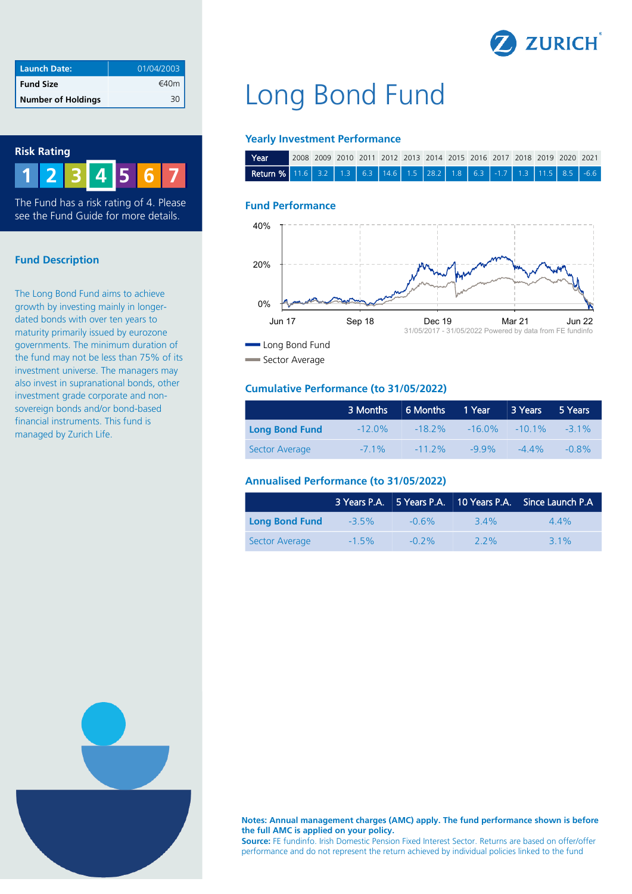

| <b>Launch Date:</b>       | 01/04/2003 |
|---------------------------|------------|
| <b>Fund Size</b>          | €40m       |
| <b>Number of Holdings</b> |            |



The Fund has a risk rating of 4. Please see the Fund Guide for more details.

### **Fund Description**

The Long Bond Fund aims to achieve growth by investing mainly in longerdated bonds with over ten years to maturity primarily issued by eurozone governments. The minimum duration of the fund may not be less than 75% of its investment universe. The managers may also invest in supranational bonds, other investment grade corporate and nonsovereign bonds and/or bond-based financial instruments. This fund is managed by Zurich Life.

# Long Bond Fund

#### **Yearly Investment Performance**

| l Year i                                                                      | (2008 2009 2010 2011 2012 2013 2014 2015 2016 2017 2018 2019 2020 2021 |  |  |  |  |  |  |  |
|-------------------------------------------------------------------------------|------------------------------------------------------------------------|--|--|--|--|--|--|--|
| <b>Return %</b> 11.6 3.2 1.3 6.3 14.6 1.5 28.2 1.8 6.3 -1.7 1.3 11.5 8.5 -6.6 |                                                                        |  |  |  |  |  |  |  |

#### **Fund Performance**



Sector Average

### **Cumulative Performance (to 31/05/2022)**

|                       | 3 Months  | 6 Months 1 Year |         | 3 Years                            | 5 Years  |
|-----------------------|-----------|-----------------|---------|------------------------------------|----------|
| <b>Long Bond Fund</b> | $-12.0\%$ |                 |         | $-182\%$ $-160\%$ $-101\%$ $-31\%$ |          |
| Sector Average        | $-71\%$   | $-112\%$        | $-99\%$ | $-44\%$                            | $-0.8\%$ |

# **Annualised Performance (to 31/05/2022)**

|                       |          |          |         | 3 Years P.A. 5 Years P.A. 10 Years P.A. Since Launch P.A. |
|-----------------------|----------|----------|---------|-----------------------------------------------------------|
| <b>Long Bond Fund</b> | $-3.5\%$ | $-0.6\%$ | 34%     | $44\%$                                                    |
| Sector Average        | $-1.5\%$ | $-0.2\%$ | $2.2\%$ | $31\%$                                                    |



**Notes: Annual management charges (AMC) apply. The fund performance shown is before the full AMC is applied on your policy.**

**Source:** FE fundinfo. Irish Domestic Pension Fixed Interest Sector. Returns are based on offer/offer performance and do not represent the return achieved by individual policies linked to the fund